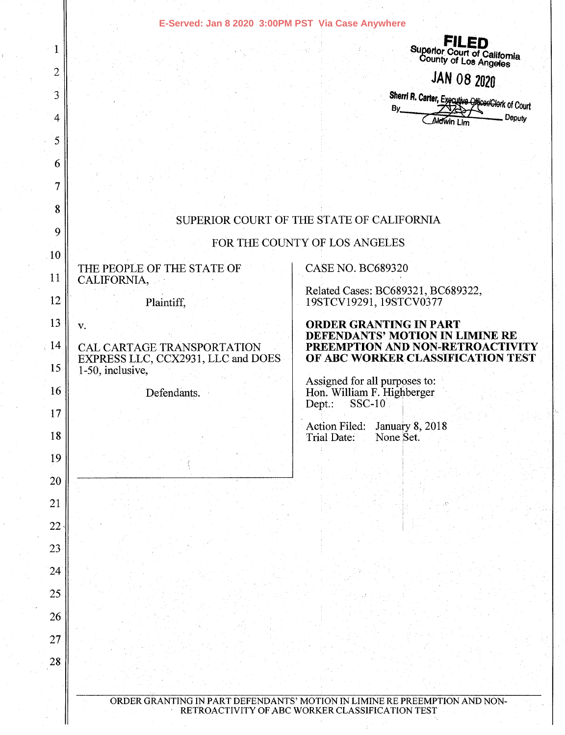|                 | E-Served: Jan 8 2020 3:00PM PST Via Case Anywhere                |                                                                                                                               |
|-----------------|------------------------------------------------------------------|-------------------------------------------------------------------------------------------------------------------------------|
| $\mathbf 1$     |                                                                  | <b>FILED</b>                                                                                                                  |
| 2               |                                                                  | Superior Court of California<br>County of Los Angeles<br><b>JAN 08 2020</b>                                                   |
| 3               |                                                                  | Sherri R. Carter, Executive OfficenClork of Court                                                                             |
| 4               |                                                                  | By<br>Deputy<br>Aldwin Lim                                                                                                    |
| 5               |                                                                  |                                                                                                                               |
| 6               |                                                                  |                                                                                                                               |
| 7               |                                                                  |                                                                                                                               |
| 8               |                                                                  | SUPERIOR COURT OF THE STATE OF CALIFORNIA                                                                                     |
| 9               |                                                                  | FOR THE COUNTY OF LOS ANGELES                                                                                                 |
| 10 <sup>°</sup> |                                                                  | <b>CASE NO. BC689320</b>                                                                                                      |
| 11              | THE PEOPLE OF THE STATE OF<br>CALIFORNIA,                        | Related Cases: BC689321, BC689322,                                                                                            |
| 12              | Plaintiff,                                                       | 19STCV19291, 19STCV0377                                                                                                       |
| 13              | V.                                                               | <b>ORDER GRANTING IN PART</b><br>DEFENDANTS' MOTION IN LIMINE RE                                                              |
| $\cdot$ 14      | CAL CARTAGE TRANSPORTATION<br>EXPRESS LLC, CCX2931, LLC and DOES | PREEMPTION AND NON-RETROACTIVITY<br>OF ABC WORKER CLASSIFICATION TEST                                                         |
| 15              | 1-50, inclusive,                                                 |                                                                                                                               |
| 16              | Defendants.                                                      | Assigned for all purposes to:<br>Hon. William F. Highberger<br><b>SSC-10</b><br>Dept.:                                        |
| 17              |                                                                  | Action Filed: January 8, 2018                                                                                                 |
| 18              |                                                                  | Trial Date:<br>None Set.                                                                                                      |
| 19<br>20        |                                                                  |                                                                                                                               |
| 21              |                                                                  |                                                                                                                               |
| 22              |                                                                  |                                                                                                                               |
| 23              |                                                                  |                                                                                                                               |
| 24              |                                                                  |                                                                                                                               |
| 25              |                                                                  |                                                                                                                               |
| 26              |                                                                  |                                                                                                                               |
| 27              |                                                                  |                                                                                                                               |
| 28              |                                                                  |                                                                                                                               |
|                 |                                                                  |                                                                                                                               |
|                 |                                                                  | ORDER GRANTING IN PART DEFENDANTS' MOTION IN LIMINE RE PREEMPTION AND NON-<br>RETROACTIVITY OF ABC WORKER CLASSIFICATION TEST |
|                 |                                                                  |                                                                                                                               |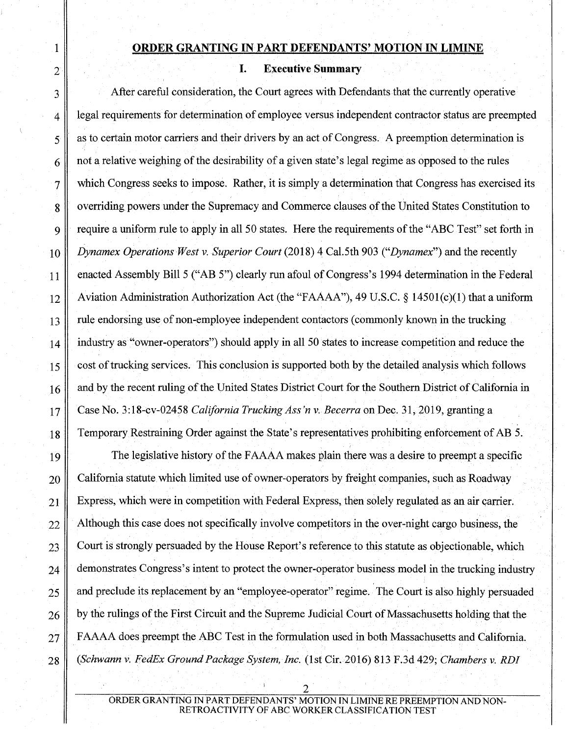## **ORDER GRANTING IN PART DEFENDANTS' MOTION IN LIMINE**

#### **I. Executive Summary**

1

2

 $3 \parallel$  After careful consideration, the Court agrees with Defendants that the currently operative 4 egal requirements for determination of employee versus independent contractor status are preempted  $5 \parallel$  as to certain motor carriers and their drivers by an act of Congress. A preemption determination is 6 not a relative weighing of the desirability of a given state's legal regime as opposed to the rules  $7 \parallel$  which Congress seeks to impose. Rather, it is simply a determination that Congress has exercised its 8 overriding powers under the Supremacy and Commerce clauses of the United States Constitution to 9 require a uniform rule to apply in all 50 states. Here the requirements of the "ABC Test" set forth in 10 *Dynamex Operations West v. Superior Court* (2018) 4 Cal. 5th 903 *("Dynamex"*) and the recently 11 enacted Assembly Bill 5 ("AB 5") clearly run afoul of Congress's 1994 determination in the Federal 12 Aviation Administration Authorization Act (the "FAAAA"), 49 U.S.C. § 14501(c)(1) that a uniform 13 rule endorsing use of non-employee independent contactors (commonly known in the trucking 14 industry as "owner-operators") should apply in all 50 states to increase competition and reduce the 15 cost of trucking services. This conclusion is supported both by the detailed analysis which follows 16 and by the recent ruling of the United States District Court for the Southern District of California in 17 Case No. 3:18-cv-02458 *California Trucking Ass 'n v. Becerra* on Dec. 31, 2019, granting a 18 Temporary Restraining Order against the State's representatives prohibiting enforcement of AB 5.

19 The legislative history of the F AAAA makes plain there was a desire to preempt a specific  $20$  California statute which limited use of owner-operators by freight companies, such as Roadway  $21$  Express, which were in competition with Federal Express, then solely regulated as an air carrier.  $22$  Although this case does not specifically involve competitors in the over-night cargo business, the 23 Court is strongly persuaded by the House Report's reference to this statute as objectionable, which 24 demonstrates Congress's intent to protect the owner-operator business model in the trucking industry 25 and preclude its replacement by an "employee-operator" regime. The Court is also highly persuaded . '  $26 \parallel$  by the rulings of the First Circuit and the Supreme Judicial Court of Massachusetts holding that the 27 FAAAA does preempt the ABC Test in the formulation used in both Massachusetts and California. 28 *(Schwann v. FedEx Ground Package System, Inc.* (1st Cir. 2016) 813 F.3d 429; *Chambers v. RDI*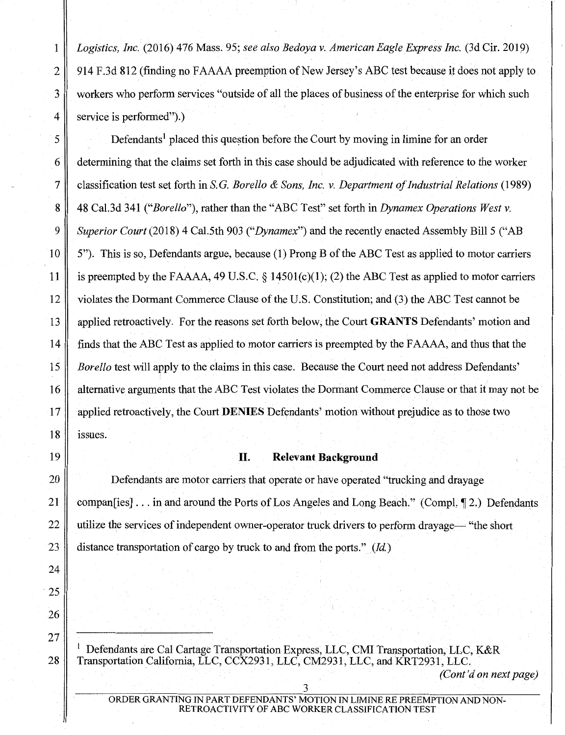1 *Logistics, Inc.* (2016) 476 Mass. 95; *see also Bedoya v. American Eagle Express Inc.* (3d Cir. 2019) 2 914 F.3d 812 (finding no FAAAA preemption of New Jersey's ABC test because it does not apply to 3 workers who perform services "outside of all the places of business of the enterprise for which such 4 service is performed".)

 $5 \parallel$  Defendants<sup>1</sup> placed this question before the Court by moving in limine for an order 6 determining that the claims set forth in this case should be adjudicated with reference to the worker 7 classification test set forth in S. G. *Borello* & *Sons, Inc. v. Department of Industrial Relations* ( 1989) 8 48 Cal.3d 341 *("Borello"),* rather than the "ABC Test" set forth in *Dynamex Operations West* v. 9 *Superior Court* (2018) 4 Cal.5th 903 *("Dynamex"*) and the recently enacted Assembly Bill 5 ("AB 10 5"). This is so, Defendants argue, because (1) Prong B of the ABC Test as applied to motor carriers 11 is preempted by the FAAAA, 49 U.S.C.  $\delta$  14501(c)(1); (2) the ABC Test as applied to motor carriers 12 violates the Dormant Commerce Clause of the U.S. Constitution; and (3) the ABC Test cannot be 13 applied retroactively. For the reasons set forth below, the Court **GRANTS** Defendants' motion and 14 finds that the ABC Test as applied to motor carriers is preempted by the F AAAA, and thus that the 15 *Borello* test will apply to the claims in this case. Because the Court need not address Defendants' 16 discriming arguments that the ABC Test violates the Dormant Commerce Clause or that it may not be 17 applied retroactively, the Court **DENIES** Defendants' motion without prejudice as to those two  $18$  issues.

#### 19 **II. Relevant Background**

20 Defendants are motor carriers that operate or have operated "trucking and drayage 21 companers . . . in and around the Ports of Los Angeles and Long Beach." (Compl. 12.) Defendants 22 utilize the services of independent owner-operator truck drivers to perform drayage— "the short" 23 distance transportation of cargo by truck to and from the ports." *(Id)* 

<sup>1</sup>Defendants are Cal Cartage Transportation Express, LLC, CMI Transportation, LLC, K&R 28 Transportation California, LLC, CCX2931, LLC, CM2931, LLC, and KRT2931, LLC.

*(Cont'd on next page)*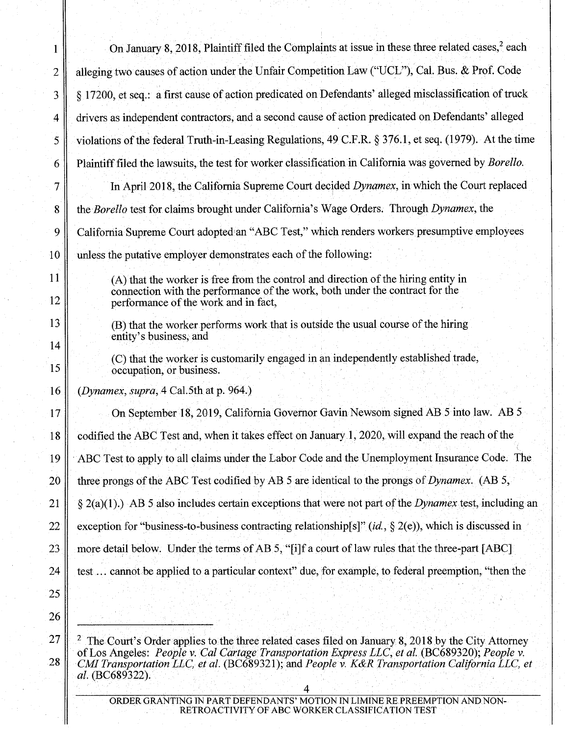| 1        | On January 8, 2018, Plaintiff filed the Complaints at issue in these three related cases, <sup>2</sup> each                                                                                                                                                                                                                      |
|----------|----------------------------------------------------------------------------------------------------------------------------------------------------------------------------------------------------------------------------------------------------------------------------------------------------------------------------------|
| 2        | alleging two causes of action under the Unfair Competition Law ("UCL"), Cal. Bus. & Prof. Code                                                                                                                                                                                                                                   |
| 3        | § 17200, et seq.: a first cause of action predicated on Defendants' alleged misclassification of truck                                                                                                                                                                                                                           |
| 4        | drivers as independent contractors, and a second cause of action predicated on Defendants' alleged                                                                                                                                                                                                                               |
| 5        | violations of the federal Truth-in-Leasing Regulations, 49 C.F.R. § 376.1, et seq. (1979). At the time                                                                                                                                                                                                                           |
| 6        | Plaintiff filed the lawsuits, the test for worker classification in California was governed by <i>Borello</i> .                                                                                                                                                                                                                  |
| 7        | In April 2018, the California Supreme Court decided Dynamex, in which the Court replaced                                                                                                                                                                                                                                         |
| $\bf{8}$ | the Borello test for claims brought under California's Wage Orders. Through Dynamex, the                                                                                                                                                                                                                                         |
| 9        | California Supreme Court adopted an "ABC Test," which renders workers presumptive employees                                                                                                                                                                                                                                      |
| 10       | unless the putative employer demonstrates each of the following:                                                                                                                                                                                                                                                                 |
| 11<br>12 | (A) that the worker is free from the control and direction of the hiring entity in<br>connection with the performance of the work, both under the contract for the<br>performance of the work and in fact,                                                                                                                       |
| 13       | (B) that the worker performs work that is outside the usual course of the hiring<br>entity's business, and                                                                                                                                                                                                                       |
| 14<br>15 | (C) that the worker is customarily engaged in an independently established trade,<br>occupation, or business.                                                                                                                                                                                                                    |
| 16       | (Dynamex, supra, 4 Cal.5th at p. 964.)                                                                                                                                                                                                                                                                                           |
| 17       | On September 18, 2019, California Governor Gavin Newsom signed AB 5 into law. AB 5                                                                                                                                                                                                                                               |
| 18       | codified the ABC Test and, when it takes effect on January 1, 2020, will expand the reach of the                                                                                                                                                                                                                                 |
| 19       | ABC Test to apply to all claims under the Labor Code and the Unemployment Insurance Code. The                                                                                                                                                                                                                                    |
| 20       | three prongs of the ABC Test codified by AB 5 are identical to the prongs of Dynamex. (AB 5,                                                                                                                                                                                                                                     |
| 21       | $\S$ 2(a)(1).) AB 5 also includes certain exceptions that were not part of the <i>Dynamex</i> test, including an                                                                                                                                                                                                                 |
| 22       | exception for "business-to-business contracting relationship[s]" (id., $\S$ 2(e)), which is discussed in                                                                                                                                                                                                                         |
| 23       | more detail below. Under the terms of AB 5, "[i]f a court of law rules that the three-part [ABC]                                                                                                                                                                                                                                 |
| 24       | test cannot be applied to a particular context" due, for example, to federal preemption, "then the                                                                                                                                                                                                                               |
| 25       |                                                                                                                                                                                                                                                                                                                                  |
| 26       |                                                                                                                                                                                                                                                                                                                                  |
| 27<br>28 | The Court's Order applies to the three related cases filed on January 8, 2018 by the City Attorney<br>of Los Angeles: People v. Cal Cartage Transportation Express LLC, et al. (BC689320); People v.<br>CMI Transportation LLC, et al. (BC689321); and People v. K&R Transportation California LLC, et<br><i>al.</i> (BC689322). |

an a Tuathar 1999.<br>Tachartasan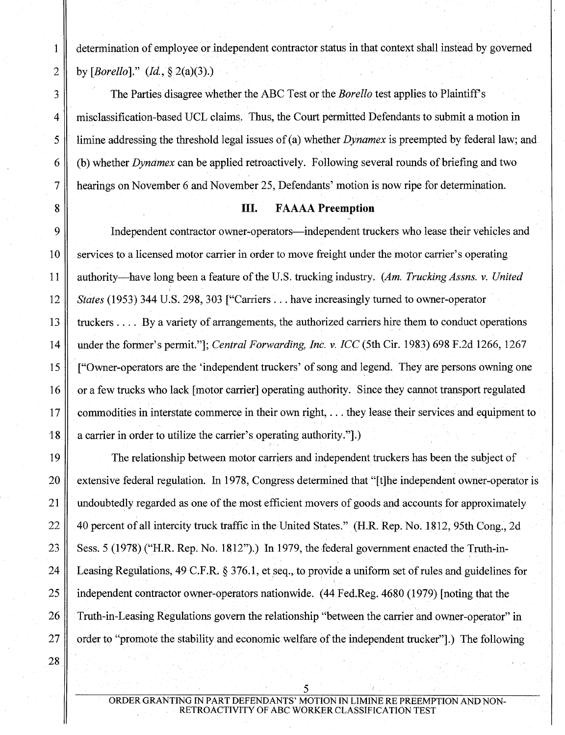1 determination of employee or independent contractor status in that context shall instead by governed 2 by *[Borello]." (!d.,§* 2(a)(3).)

3 The Parties disagree whether the ABC Test or the *Borello* test applies to Plaintiff's 4 misclassification-based UCL claims. Thus, the Court permitted Defendants to submit a motion in 5 limine addressing the threshold legal issues of (a) whether *Dynamex* is preempted by federal law; and 6 (b) whether *Dynamex* can be applied retroactively. Following several rounds ofbriefing and two 7 hearings on November 6 and November 25, Defendants' motion is now ripe for determination.

#### 8 III. F AAAA **Preemption**

9 Independent contractor owner-operators—independent truckers who lease their vehicles and 10 services to a licensed motor carrier in order to move freight under the motor carrier's operating 11 authority-have long been a feature ofthe U.S. trucking industry. *(Am. Trucking Assns. v. United*  <sup>12</sup>*States* (1953) 344 U.S. 298, 303 ["Carriers ... have increasingly turned to owner-operator 13 truckers  $\dots$  By a variety of arrangements, the authorized carriers hire them to conduct operations 14 under the former's permit."]; *Central Forwarding, Inc. v. ICC* (5th Cir. 1983) 698 F.2d 1266, 1267 15 ["Owner-operators are the 'independent truckers' of song and legend. They are persons owning one 16 or a few trucks who lack [motor carrier] operating authority. Since they cannot transport regulated 17 commodities in interstate commerce in their own right, ... they lease their services and equipment to 18 a carrier in order to utilize the carrier's operating authority.".)

19 The relationship between motor carriers and independent truckers has been the subject of 20 extensive federal regulation. In 1978, Congress determined that "[t]he independent owner-operator is 21 undoubtedly regarded as one of the most efficient movers of goods and accounts for approximately 22 40 percent of all intercity truck traffic in the United States." (H.R. Rep. No. 1812, 95th Cong., 2d) 23 Sess. 5 (1978) ("H.R. Rep. No. 1812").) In 1979, the federal government enacted the Truth-in-24 Leasing Regulations, 49 C.F.R. § 376.1, et seq., to provide a uniform set of rules and guidelines for 25 independent contractor owner-operators nationwide. (44 Fed.Reg. 4680 (1979) [noting that the 26 Truth-in-Leasing Regulations govern the relationship "between the carrier and owner-operator" in 27 order to "promote the stability and economic welfare of the independent trucker".) The following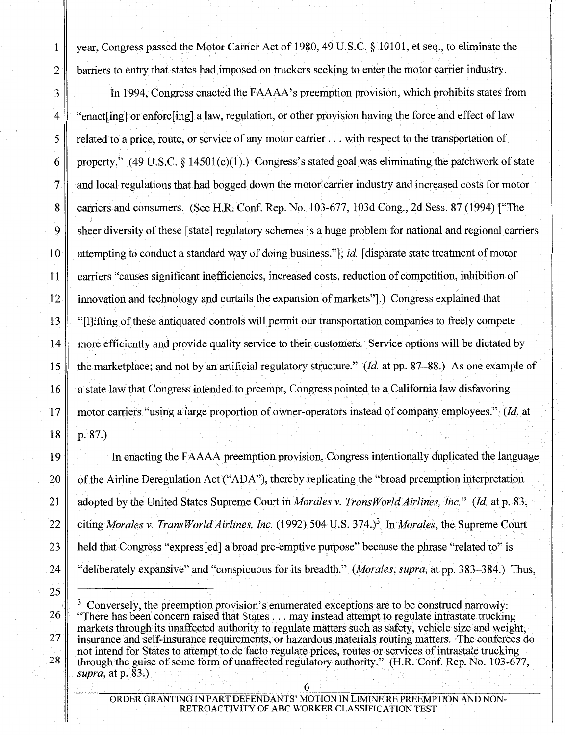1 year, Congress passed the Motor Carrier Act of 1980,49 U.S.C. § 10101, et seq., to eliminate the 2 barriers to entry that states had imposed on truckers seeking to enter the motor carrier industry.

3 In 1994, Congress enacted the FAAAA's preemption provision, which prohibits states from 4 "enactling] or enforcling] a law, regulation, or other provision having the force and effect of law 5 | related to a price, route, or service of any motor carrier ... with respect to the transportation of 6 property." (49 U.S.C. § 14501(c)(1).) Congress's stated goal was eliminating the patchwork of state 7 and local regulations that had bogged down the motor carrier industry and increased costs for. motor 8 carriers and consumers. (See H.R. Conf. Rep. No. 103-677, 103d Cong., 2d Sess. 87 (1994) ["The 9 sheer diversity of these [state] regulatory schemes is a huge problem for national and regional carriers 10 attempting to conduct a standard way of doing business."]; *id.* [disparate state treatment of motor 11 carriers "causes significant inefficiencies, increased costs, reduction of competition, inhibition of 12 innovation and technology and curtails the expansion of markets".) Congress explained that 13 "[l]ifting of these antiquated controls will permit our transportation companies to freely compete 14 more efficiently and provide quality service to their customers. Service options will be dictated by 15 the marketplace; and not by an artificial regulatory structure." *(!d.* at pp. 87-88.) As one example of 16 a state law that Congress intended to preempt, Congress pointed to a California law disfavoring 17 motor carriers "using a large proportion of owner-operators instead of company employees." *(!d.* at  $18 \parallel p. 87.$ 

19 In enacting the FAAAA preemption provision, Congress intentionally duplicated the language 20 of the Airline Deregulation Act ("ADA"), thereby replicating the "broad preemption interpretation 21 adopted by the United States Supreme Court in *Morales v. Trans World Airlines, Inc." (!d.* at p. 83, 22 citing *Morales v. Trans World Airlines, Inc.* (1992) 504 U.S. 374.)<sup>3</sup> In *Morales*, the Supreme Court 23 held that Congress "express[ed] a broad pre-emptive purpose" because the phrase "related to" is 24 "deliberately expansive" and "conspicuous for its breadth." *(Morales, supra,* at pp. 383-384.) Thus,

<sup>3</sup> Conversely, the preemption provision's enumerated exceptions are to be construed narrowly: "There has been concern raised that States ... may instead attempt to regulate intrastate trucking markets through its unaffected authority to regulate matters such as safety, vehicle size and weight, insurance and self-insurance requirements, or hazardous materials routing matters. The conferees do not intend for States to attempt to de facto regulate prices, routes or services of intrastate trucking through the guise of some form of unaffected regulatory authority." (H.R. Conf. Rep. No. 103-677, *supra,* at p. 83.)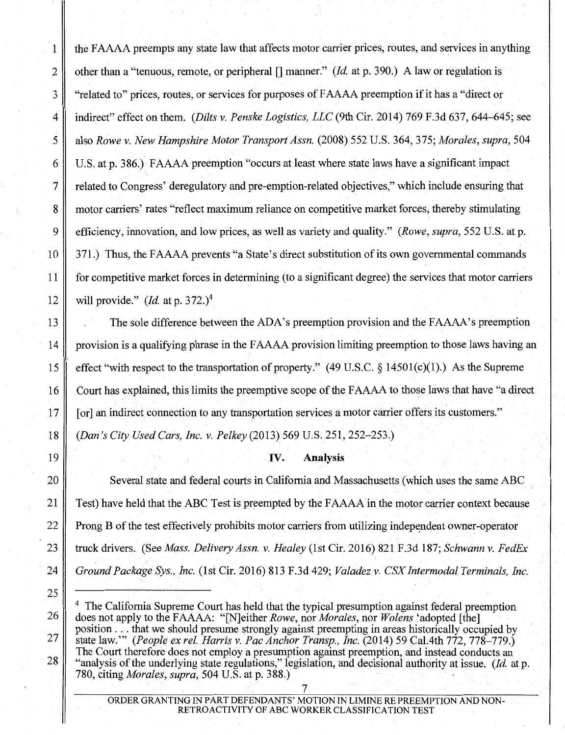1 the FAAAA preempts any state law that affects motor carrier prices, routes, and services in anything 2 other than a "tenuous, remote, or peripheral [] manner;" *(Id.* at p. 390.) A law or regulation is 3 "related to" prices, routes, or services for purposes of FAAAA preemption if it has a "direct or 4 indirect" effect on them. *(Dilts v. Penske Logistics, LLC* (9th Cir. 2014) 769 F.3d 637, 644-645; see 5 also *Rowe v. New Hampshire Motor Transport Assn.* (2008) 552 U.S. 364, 375; *Morales, supra,* 504 6 U.S. at p. 386.) F AAAA preemption "occurs at least where state laws have a significant impact 7 related to Congress' deregulatory and pre-emption-related objectives," which include ensuring that 8 motor carriers' rates "reflect maximum reliance on competitive market forces, thereby stimulating 9 efficiency, innovation, and low prices, as well as variety and quality." *(Rowe, supra,* 552 U.S. at p. 10 371.) Thus, the FAAAA prevents "a State's direct substitution of its own governmental commands 11 for competitive market forces in determining (to a significant degree) the services that motor carriers 12 will provide." *(Id.* at p. 372.)<sup>4</sup>

13 The sole difference between the ADA's preemption provision and the FAAAA's preemption 14 provision is a qualifying phrase in the F AAAA provision limiting preemption to those laws having an 15 effect "with respect to the transportation of property." (49 U.S.C. § 14501(c)(1).) As the Supreme 16 Court has explained, this limits the preemptive scope of the FAAAA to those laws that have "a direct" 17 | [or] an indirect connection to any transportation services a motor carrier offers its customers."

18 *(Dan's City Used Cars, Inc. v. Pelkey* (2013) 569 U.S. 251, 252-253.)

## 19 **IV. Analysis**

20 Several state and federal courts in California and Massachusetts (which uses the same ABC 21 Test) have held that the ABC Test is preempted by the FAAAA in the motor carrier context because 22 Prong B of the test effectively prohibits motor carriers from utilizing independent owner-operator 23 truck drivers. (See *Mass. Delivery Assn. v. Healey* (lst Cir. 2016) 821 F.3d 187; *Schwann v. FedEx*  24 *Ground Package Sys., Inc.* (1st Cir. 2016) 813 F.3d 429; *Valadez v. CSX Intermodal Terminals, Inc.* 

<sup>4</sup> The California Supreme Court has held that the typical presumption against federal preemption does not apply to the FAAAA: "[N]either *Rowe,* nor *Morales,* nor *Wolens* 'adopted [the] position ... that we should presume strongly against preempting in areas historically occupied by state law."' *(People ex rei. Harris v. Pac Anchor Transp., Inc.* (2014) 59 Cal.4th 772, 778-779.) The Court therefore does not employ a presumption against preemption, and instead conducts an "analysis of the underlying state regulations," legislation, and decisional authority at issue. *(!d.* at p. 780, citing *Morales, supra,* 504 U.S. at p. 388.)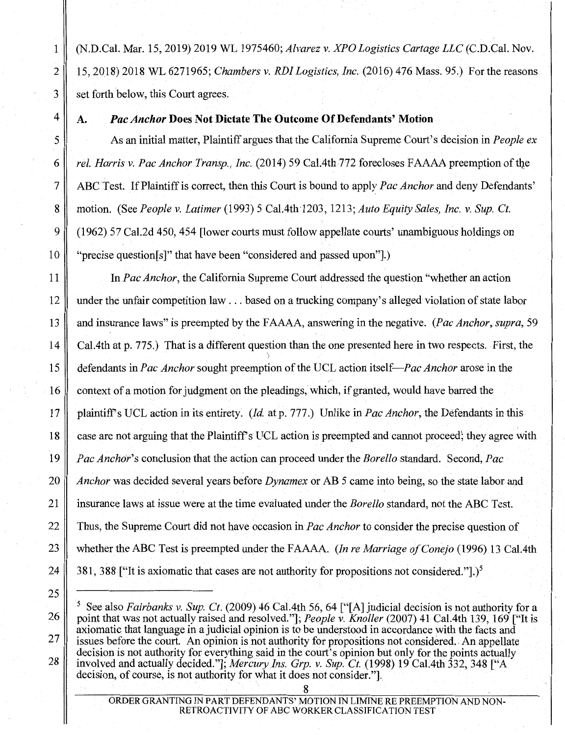1 (N.D.Cal. Mar. 15, 2019) 2019 WL 1975460; *Alvarez v. XPO Logistics Cartage LLC* (C.D.Cal. Nov. 2 15, 2018) 2018 WL 6271965; *Chambers v. RDI Logistics, Inc.* (2016) 476 Mass. 95.) For the reasons 3 set forth below, this Court agrees.

## 4 A. *Pac Anchor* **Does Not Dictate The Outcome Of Defendants' Motion**

5 As an initial matter, Plaintiff argues that the California Supreme Court's decision in *People ex*  6 *rel. Harris v. Pac Anchor Transp., Inc.* (2014) 59 Cal.4th 772 forecloses FAAAA preemption of the 7 ABCTest. IfPlaintiffis correct, then this Court is bound to apply *Pac Anchor* and deny Defendants' 8 motion. (See *People v. Latimer* (1993) 5 Cal.4th 1203, 1213; *Auto Equity Sales, Inc. v. Sup. Ct.* 9 (1962) 57 Cal.2d 450, 454 [lower courts must follow appellate courts' unambiguous holdings on 10 "precise question[s]" that have been "considered and passed upon"].)

11 In *Pac Anchor,* the California Supreme Court addressed the question "whether an action 12 under the unfair competition law ... based on a trucking company's alleged violation of state labor 13 and insurance laws" is preempted by the F AAAA, answering in the negative. *(Pac Anchor, supra,* 59 14 Cal.4th at p. 775.) That is a different question than the one presented here in two respects. First, the '> 15 defendants in *Pac Anchor* sought preemption ofthe UCL action *itself-Pac Anchor* arose in the 16 context of a motion for judgment on the pleadings, which, if granted, would have barred the 17 plaintiffs UCL action in its entirety. (Jd. at p. 777.) Unlike in *Pac Anchor,* the Defendants in this 18 case are not arguing that the Plaintiffs UCL action is preempted and cannot proceed; they agree with 19 *Pac Anchor's* conclusion that the action can proceed under the *Borello* standard. Second, *Pac*  20 *Anchor* was decided several years before *Dynamex* or AB 5 came into being, so the state labor and 21 insurance laws at issue were at the time evaluated under the *Borello* standard, not the ABC Test. 22 Thus, the Supreme Court did not have occasion *inPac Anchor* to consider the precise question of 23 whether the ABC Test is preempted under the FAAAA. *(In re Marriage of Conejo* (1996) 13 Cal.4th 24  $\parallel$  381, 388 ["It is axiomatic that cases are not authority for propositions not considered."].)<sup>5</sup>

<sup>5</sup> See also *Fairbanks v. Sup. Ct.* (2009) 46 Ca1.4th 56, 64 ["[A] judicial decision is not authority for a point that was not actually raised and resolved."]; *People v. Knoller* (2007) 41 Ca1.4th 139, 169 ["It is axiomatic that language in a judicial opinion is to be understood in accordance with the facts and issues before the court. An opinion is not authority for propositions not considered. An appellate decision is not authority for everything said in the court's opinion but only for the points actually involved and actually decided."]; *Mercury Ins. Grp. v. Sup. Ct.* (1998) 19 Cal.4th 332, 348 [''A decision, of course, is not authority for what it does not consider."].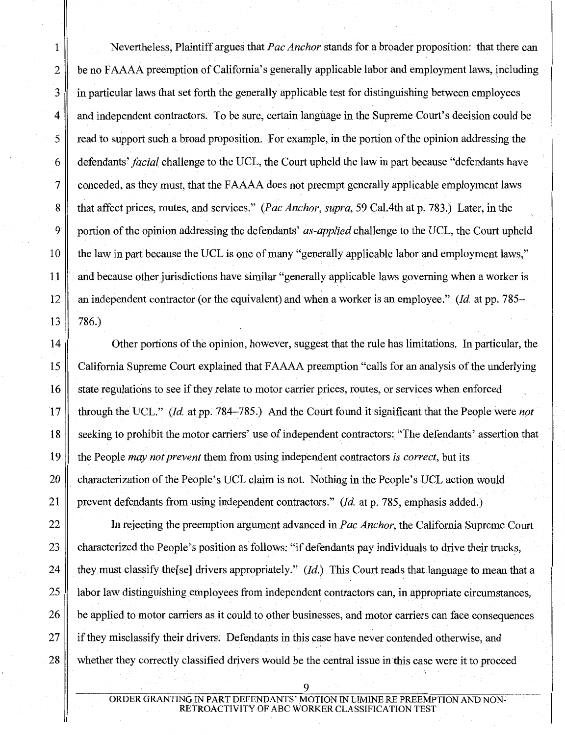1 Nevertheless, Plaintiff argues that *Pac Anchor* stands for a broader proposition: that there can 2 be no FAAAA preemption of California's generally applicable labor and employment laws, including 3 in particular laws that set forth the generally applicable test for distinguishing between employees 4 and independent contractors. To be sure, certain language in the Supreme Court's decision could be  $5 \parallel$  read to support such a broad proposition. For example, in the portion of the opinion addressing the 6 defendants' *facial* challenge to the UCL, the Court upheld the law in part because "defendants have 7 conceded, as they must, that the F AAAA does not preempt generally applicable employment laws 8 that affect prices, routes, and services." *(Pac Anchor,. supra,* 59 Cal.4th at p. 783.) Later, in the 9 portion of the opinion addressing the defendants' *as-applied* challenge to the UCL, the Court upheld 10 the law in part because the UCL is one of many "generally applicable labor and employment laws," 11 and because other jurisdictions have similar "generally applicable laws governing when a worker is 12 an independent contractor (or the equivalent) and when a worker is an employee." *(/d.* at pp. 785-

14 Other portions ofthe opinion, however, suggest that the rule has limitations. In particular, the 15 California Supreme Court explained that F AAAA preemption "calls for an analysis of the underlying 16 state regulations to see if they relate to motor carrier prices, routes, or services when enforced 17 through the UCL." *(!d.* at pp. 784-785.) And the Court found it significant that the People were *not*  18 seeking to prohibit the motor carriers' use of independent contractors: "The defendants' assertion that 19 the People *may not prevent* them from using independent contractors *is correct,* but its 20 characterization of the People's UCL claim is not. Nothing in the People's UCL action would 21 prevent defendants from using independent contractors." *(/d.* at p. 785, emphasis added.)

22 In rejecting the preemption argument advanced in *Pac Anchor,* the California Supreme Court 23 characterized the People's position as follows: "if defendants pay individuals to drive their trucks, 24 they must classify the [se] drivers appropriately." (*Id.*) This Court reads that language to mean that a 25 || labor law distinguishing employees from independent contractors can, in appropriate circumstances, 26 be applied to motor carriers as it could to other businesses, and motor carriers can face consequences  $27 \parallel$  if they misclassify their drivers. Defendants in this case have never contended otherwise, and 28 whether they correctly classified drivers would be the central issue in this case were it to proceed

> ORDER GRANTING IN PART DEFENDANTS' MOTION IN LIMINE RE PREEMPTION AND NON-ROACTIVITY OF ABC WORKER CLASSIFICATION TEST

9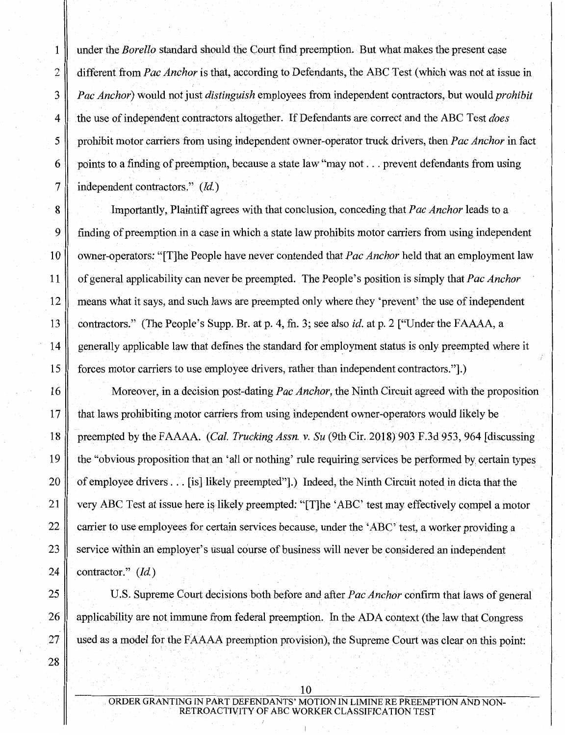1 under the *Borello* standard should the Court find preemption. But what makes the present case 2 different from *Pac Anchor* is that, according to Defendants, the ABC Test (which was not at issue in 3 *Pac Anchor)* would not just *distinguish* employees from independent contractors, but would *prohibit*  4 the use of independent contractors altogether. If Defendants are correct and the ABC Test *does*  5 prohibit motor carriers from using independent owner-operator truck drivers, then *Pac Anchor* in fact 6 points to a finding of preemption, because a state law "may not  $\dots$  prevent defendants from using 7 | independent contractors."  $(Id.)$ 

8 Importantly, Plaintiff agrees with that conclusion, conceding that *Pac Anchor* leads to a 9 finding of preemption in a case in which a state law prohibits motor carriers from using independent 10 owner-operators: "[T]he People have never contended that *Pac Anchor* held that an employment law 11 of general applicability can never be preempted. The People's position is simply that *Pac Anchor*  12 means what it says, and such laws are preempted only where they 'prevent' the use of independent 13 contractors." (The People's Supp. Br. at p. 4, fn. 3; see also *id.* at p. 2 ["Under the FAAAA, a 14 generally applicable law that defines the standard for employment status is only preempted where it 15 forces motor carriers to use employee drivers, rather than independent contractors."].)

16 Moreover, in a decision post-dating *Pac Anchor*, the Ninth Circuit agreed with the proposition 17 that laws prohibiting motor carriers from using independent owner-operators would likely be 18 preempted by the FAAAA. *(Cal. Trucking Assn. v. Su* (9th Cir. 2018) 903 F.3d 953, 964 [discussing 19 the "obvious proposition thatan 'all or nothing' rule requiring services be performed by certain types 20 cf employee drivers . . . [is] likely preempted"].) Indeed, the Ninth Circuit noted in dicta that the 21 very ABC Test at issue here is likely preempted: "[T]he 'ABC' test may effectively compel a motor 22 carrier to use employees for certain services because, under the 'ABC' test, a worker providing a 23 service within an employer's usual course of business will never be considered an independent 24 | contractor." *(Id.)* 

25 U.S. Supreme Court decisions both before and after *Pac Anchor* confirm that laws of general 26 applicability are not immune from federal preemption. In the ADA context (the law that Congress  $27$  used as a model for the FAAAA preemption provision), the Supreme Court was clear on this point:

10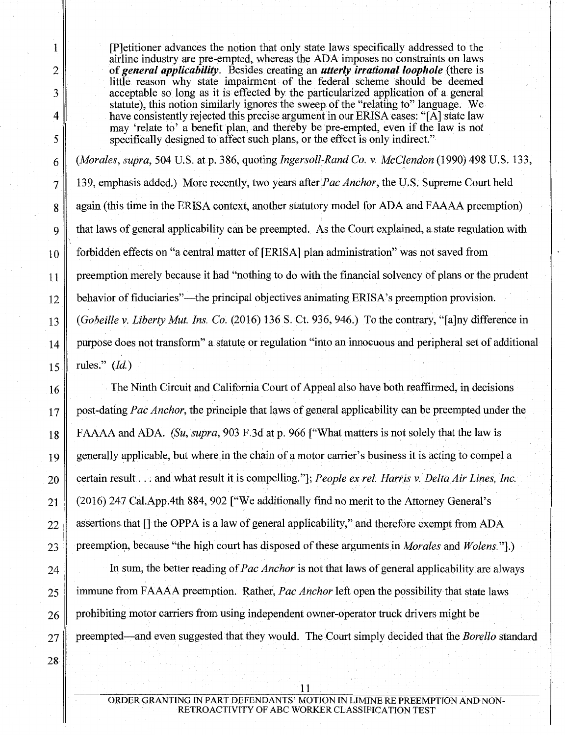28

1 [P]etitioner advances the notion that only state laws specifically addressed to the airline industry are pre-empted, whereas the ADA imposes no constraints on laws 2 of *general applicability*. Besides creating an *utterly irrational loophole* (there is little reason why state impairment of the federal scheme should be deemed 3 acceptable so long as it is effected by the particularized application of a general statute), this notion similarly ignores the sweep of the "relating to" language. We 4 have consistently rejected this precise argument in our ERISA cases: "[A] state law may 'relate to' a benefit plan, and thereby be pre-empted, even if the law is not 5 specifically designed to affect such plans, or the effect is only indirect."

6 *(Morales, supra,* 504 U.S. at p. 386, quoting *Ingersoll-Rand Co. v. McC{endon* (1990) 498 U.S. 133, 7 139, emphasis added.) More recently, two years afterPac *Anchor,* the U.S. Supreme Court held 8 again (this time in the ERISA context, another statutory model for ADA and FAAAA preemption) 9 that laws of general applicability can be preempted. As the Court explained, a state regulation with 10 forbidden effects on "a central matter of [ERISA] plan administration" was not saved from 11 preemption merely because it had "nothing to do with the financial solvency of plans or the prudent 12 behavior of fiduciaries"—the principal objectives animating ERISA's preemption provision. 13 *(Gobeille v. Liberty Mut. Ins. Co.* (2016) 136 S. Ct. 936, 946.) To the contrary, "[a]ny difference in 14 purpose does not transform" a statute or regulation "into an innocuous and peripheral set of additional 15  $\parallel$  rules." (*Id.*)

16 The Ninth Circuit and California Court of Appeal also have both reaffirmed, in decisions 17 post-dating *Pac Anchor,* the principle that laws of general applicability can be preempted under the 18 **FAAAA** and ADA. *(Su, supra, 903 F.3d at p. 966 ["What matters is not solely that the law is* 19 generally applicable, but where in the chain of a motor carrier's business it is acting to compel a 20 certain result ... and what result it is compelling."]; *People ex rel. Harris v. Delta Air Lines, Inc.* 21 (2016) 247 Cal.App.4th 884, 902 ["We additionally find no merit to the Attorney General's  $22$  assertions that  $\lfloor \rfloor$  the OPPA is a law of general applicability," and therefore exempt from ADA 23 preemption, because "the high court has disposed of these arguments in *Morales* and *Wolens.*"].)

24 In sum, the better reading of *Pac Anchor* is not that laws of general applicability are always 25 immune from F AAAA preemption. Rather, *Pac Anchor* left open the possibility-that state laws  $26 \parallel$  prohibiting motor carriers from using independent owner-operator truck drivers might be 27 preempted-and even suggested that they would. The Court simply decided that the *Borello* standard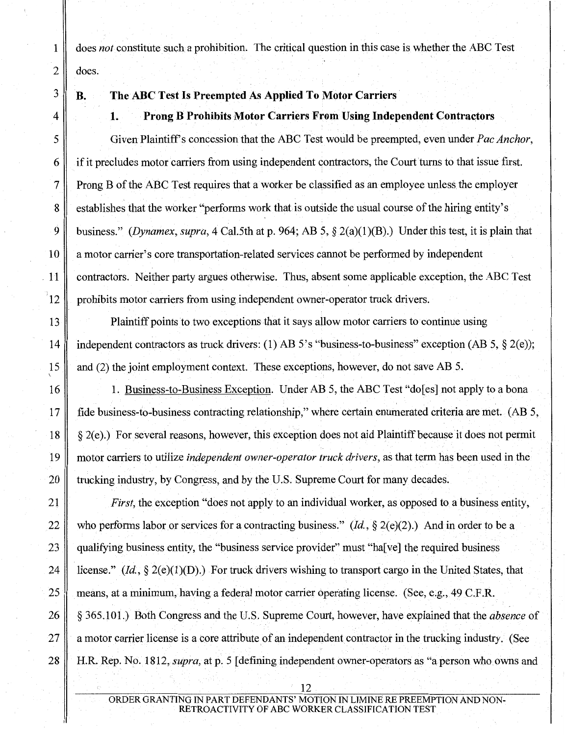1 does *not* constitute such a prohibition. The critical question in this case is whether the ABC Test  $2 \parallel$  does.

# 3 **B. The ABC Test Is Preempted As Applied To Motor Carriers·**

## 4 **1. Prong B Prohibits Motor Carriers From Using Independent** Contra~tors

5 Given Plaintiffs concession that the ABC Test would be preempted, even under *Pac Anchor,*  6 if it precludes motor carriers from using independent contractors, the Court turns to that issue first. 7 Prong B of the ABC Test requires that a worker be classified as an employee unless the employer 8 establishes that the worker "performs work that is outside the usual course of the hiring entity's 9 business." *(Dynamex, supra,* 4 Cal.5th at p. 964; AB 5, § 2(a)(l)(B).) Under this test, it is plain that 10 a motor carrier's core transportation-related services cannot be performed by independent . 11 contractors. Neither party argues otherwise. Thus, absent some applicable exception, the ABC Test  $|12 \rangle$  prohibits motor carriers from using independent owner-operator truck drivers.

13 Plaintiff points to two exceptions that it says allow motor carriers to continue using 14 independent contractors as truck drivers: (1) AB 5's "business-to-business" exception (AB 5, § 2(e)); 15 and (2) the joint employment context. These exceptions, however, do not save AB 5.

16 1. Business-to-Business Exception. Under AB 5, the ABC Test "do[es] not apply to a bona 17 fide business-to-business contracting relationship," where certain enumerated criteria are met. (AB 5,  $18 \parallel \xi$  2(e).) For several reasons, however, this exception does not aid Plaintiff because it does not permit 19 motor carriers to utilize *independent owner-operator truck drivers,* as that term has been used in the 20 trucking industry, by Congress, and by the U.S. Supreme Court for many decades.

21 *First,* the exception "does not apply to an individual worker, as opposed to a business entity, 22 who performs labor or services for a contracting business."  $(id, \S 2(e)(2))$ . And in order to be a 23 qualifying business entity, the "business service provider" must "ha[ve] the required business 24 iii license." (*Id.*, § 2(e)(1)(D).) For truck drivers wishing to transport cargo in the United States, that 25 means, at a minimum, having a federal motor carrier operating license. (See, e.g., 49 C.F.R. 26 § 365.101.) Both Congress and the U.S. Supreme Court, however, have explained that the *absence* of 27 a motor carrier license is a core attribute of an independent contractor in the trucking industry. (See 28 H.R. Rep. No. 1812, *supra,* at p. 5 [defining independent owner-operators as "a person who owns and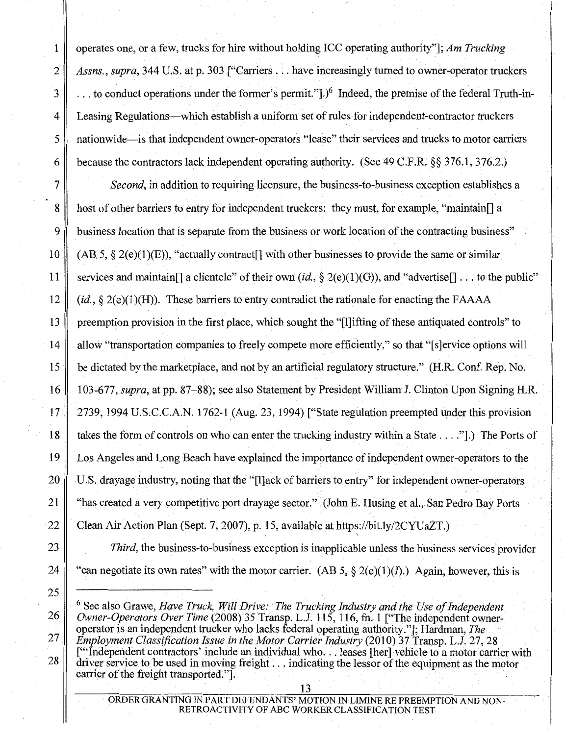1 operates one, or a few, trucks for hire without holding ICC operating authority"]; *Am Trucking*  2 *Assns., supra,* 344 U.S. at p. 303 ["Carriers ... have increasingly turned to owner-operator truckers  $3 \parallel$ ... to conduct operations under the former's permit."].)<sup>6</sup> Indeed, the premise of the federal Truth-in-4 Leasing Regulations—which establish a uniform set of rules for independent-contractor truckers 5 nationwide-is that independent owner-operators "lease" their services and trucks to motor carriers 6 because the contractors lack independent operating authority. (See 49 C.P.R.§§ 376.1, 376.2.)

7 *Second,* in addition to requiring licensure, the business-to-business exception establishes a 8 host of other barriers to entry for independent truckers: they must, for example, "maintain.] a 9 business location that is separate from the business or work location of the contracting business" 10 (AB 5,  $\S$  2(e)(1)(E)), "actually contract<sup>[]</sup> with other businesses to provide the same or similar 11 services and maintain<sup>[]</sup> a clientele" of their own *(id., §* 2(e)(1)(G)), and "advertise<sup>[]</sup> ... to the public" 12 *(id.,* § 2(e)(1)(H)). These barriers to entry contradict the rationale for enacting the FAAAA 13 preemption provision in the first place, which sought the "[l]ifting of these antiquated controls" to 14 allow "transportation companies to freely compete more efficiently," so that "[s]ervice options will 15 be dictated by the marketplace, and not by an artificial regulatory structure." (H.R. Conf. Rep. No.) 16 103-677, *supra,* at pp. 87-88); see also Statement by President William J. Clinton Upon Signing H.R. 17  $\parallel$  2739, 1994 U.S.C.C.A.N. 1762-1 (Aug. 23, 1994) ["State regulation preempted under this provision 18 takes the form of controls on who can enter the trucking industry within a State .... "].) The Ports of 19 Los Angeles and Long Beach have explained the importance of independent owner-operators to the 20 U.S. drayage industry, noting that the "[l]ack of barriers to entry" for independent owner-operators 21 "has created a very competitive port drayage sector." (John E. Husing et al., San Pedro Bay Ports 22 Clean Air Action Plan (Sept. 7, 2007), p. 15, available at https://bit.ly/2CYUaZT.)

- 23 *Third,* the business-to-business exception is inapplicable unless the business services provider
- 

6 See also Grawe, *Have Truck, Will Drive: The Trucking Industry and the Use of Independent Owner-Operators Over Time* (2008) 35 Transp. L.J. 115, 116, fn. 1 ["The independent owneroperator is an independent trucker who lacks federal operating authority."]; Hardman, *The Employment Classification Issue in the Motor Carrier Industry (2010) 37 Transp. L.J. 27, 28* 

["'Independent contractors' include an individual who... leases [her] vehicle to a motor carrier with driver service to be used in moving freight ... indicating the lessor of the equipment as the motor carrier of the freight transported.".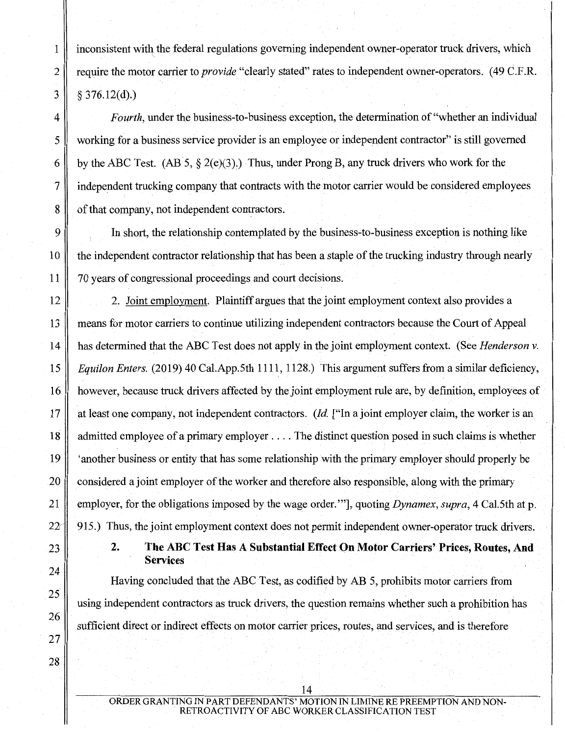$1 \parallel$  inconsistent with the federal regulations governing independent owner-operator truck drivers, which 2 || require the motor carrier to *provide* "clearly stated" rates to independent owner-operators. (49 C.F.R.  $3 \parallel \& 376.12(d)$ .

4 *Fourth,* under the business-to-business exception, the determination of"whether an individual 5 working for a business service provider is an employee or independent contractor" is still governed 6 by the ABC Test. (AB 5,  $\S$  2(e)(3).) Thus, under Prong B, any truck drivers who work for the 7 independent trucking company that contracts with the motor carrier would be considered employees 8 of that company, not independent contractors.

9 In short, the relationship contemplated by the business-to-business exception is nothing like 10 the independent contractor relationship that has been a staple of the trucking industry through nearly 11 70 years of congressional proceedings and court decisions.

12 2. Joint employment. Plaintiff argues that the joint employment context also provides a 13 means for motor carriers to continue utilizing independent contractors because the Court of Appeal 14 has determined that the ABC Test does not apply in the joint employment context. (See *Henderson v.*  15 *Equilon Enters.* (2019) 40 Cal.App.5th 1111, 1128.) This argument suffers from a similar deficiency, 16 however, because truck drivers affected by the joint employment rule are, by definition, employees of 17 at least one company, not independent contractors. *(!d.* ["In a joint employer claim, the worker is an 18 admitted employee of a primary employer .... The distinct question posed in such claims is whether 19 'another business or entity that has some relationship with the primary employer should properly be 20 considered a joint employer of the worker and therefore also responsible, along with the primary 21 employer, for the obligations imposed by the wage order."'], quoting *Dynamex, supra,* 4 Cal.5th at p. 22<sup>-</sup> 915.) Thus, the joint employment context does not permit independent owner-operator truck drivers.

2. The ABC Test Has A Substantial Effect On Motor Carriers' Prices, Routes, And **Services** 

Having concluded that the ABC Test, as codified by AB 5, prohibits motor carriers from using independent contractors as truck drivers, the question remains whether such a prohibition has sufficient direct or indirect effects on motor carrier prices, routes, and services, and is therefore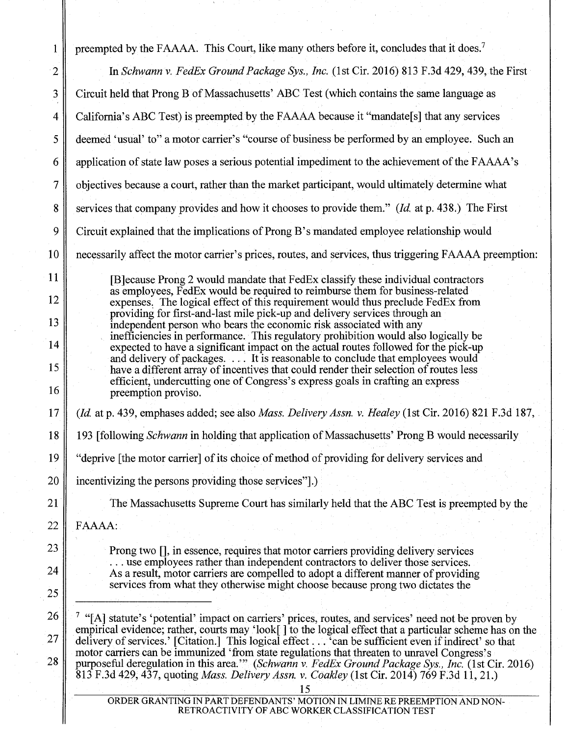| 1              | preempted by the FAAAA. This Court, like many others before it, concludes that it does. <sup>7</sup>                                                                                                                                                                                              |
|----------------|---------------------------------------------------------------------------------------------------------------------------------------------------------------------------------------------------------------------------------------------------------------------------------------------------|
| $\overline{2}$ | In Schwann v. FedEx Ground Package Sys., Inc. (1st Cir. 2016) 813 F.3d 429, 439, the First                                                                                                                                                                                                        |
| 3              | Circuit held that Prong B of Massachusetts' ABC Test (which contains the same language as                                                                                                                                                                                                         |
| 4              | California's ABC Test) is preempted by the FAAAA because it "mandate[s] that any services                                                                                                                                                                                                         |
| 5              | deemed 'usual' to" a motor carrier's "course of business be performed by an employee. Such an                                                                                                                                                                                                     |
| 6              | application of state law poses a serious potential impediment to the achievement of the FAAAA's                                                                                                                                                                                                   |
| 7              | objectives because a court, rather than the market participant, would ultimately determine what                                                                                                                                                                                                   |
| 8              | services that company provides and how it chooses to provide them." (Id. at p. 438.) The First                                                                                                                                                                                                    |
| 9              | Circuit explained that the implications of Prong B's mandated employee relationship would                                                                                                                                                                                                         |
| 10             | necessarily affect the motor carrier's prices, routes, and services, thus triggering FAAAA preemption:                                                                                                                                                                                            |
| 11             | [B]ecause Prong 2 would mandate that FedEx classify these individual contractors                                                                                                                                                                                                                  |
| 12             | as employees, FedEx would be required to reimburse them for business-related<br>expenses. The logical effect of this requirement would thus preclude FedEx from                                                                                                                                   |
| 13             | providing for first-and-last mile pick-up and delivery services through an<br>independent person who bears the economic risk associated with any                                                                                                                                                  |
| 14             | inefficiencies in performance. This regulatory prohibition would also logically be<br>expected to have a significant impact on the actual routes followed for the pick-up                                                                                                                         |
| 15             | and delivery of packages.  It is reasonable to conclude that employees would<br>have a different array of incentives that could render their selection of routes less                                                                                                                             |
| 16             | efficient, undercutting one of Congress's express goals in crafting an express<br>preemption proviso.                                                                                                                                                                                             |
| 17             | (Id. at p. 439, emphases added; see also Mass. Delivery Assn. v. Healey (1st Cir. 2016) 821 F.3d 187,                                                                                                                                                                                             |
| 18             | 193 [following Schwann in holding that application of Massachusetts' Prong B would necessarily                                                                                                                                                                                                    |
| 19             | "deprive [the motor carrier] of its choice of method of providing for delivery services and                                                                                                                                                                                                       |
| 20             | incentivizing the persons providing those services"                                                                                                                                                                                                                                               |
| 21             | The Massachusetts Supreme Court has similarly held that the ABC Test is preempted by the                                                                                                                                                                                                          |
| 22             | FAAAA:                                                                                                                                                                                                                                                                                            |
| 23             | Prong two [], in essence, requires that motor carriers providing delivery services                                                                                                                                                                                                                |
| 24             | use employees rather than independent contractors to deliver those services.<br>As a result, motor carriers are compelled to adopt a different manner of providing                                                                                                                                |
| 25             | services from what they otherwise might choose because prong two dictates the                                                                                                                                                                                                                     |
| 26             | <sup>7</sup> "[A] statute's 'potential' impact on carriers' prices, routes, and services' need not be proven by                                                                                                                                                                                   |
| 27             | empirical evidence; rather, courts may 'look[] to the logical effect that a particular scheme has on the delivery of services.' [Citation.] This logical effect 'can be sufficient even if indirect' so that                                                                                      |
| 28             | motor carriers can be immunized 'from state regulations that threaten to unravel Congress's<br>purposeful deregulation in this area." (Schwann v. FedEx Ground Package Sys., Inc. (1st Cir. 2016)<br>813 F.3d 429, 437, quoting Mass. Delivery Assn. v. Coakley (1st Cir. 2014) 769 F.3d 11, 21.) |
|                | ORDER GRANTING IN PART DEFENDANTS' MOTION IN LIMINE RE PREEMPTION AND NON-                                                                                                                                                                                                                        |

RETROACTIVITY OF ABC WORKER CLASSIFICATION TEST

 $\parallel$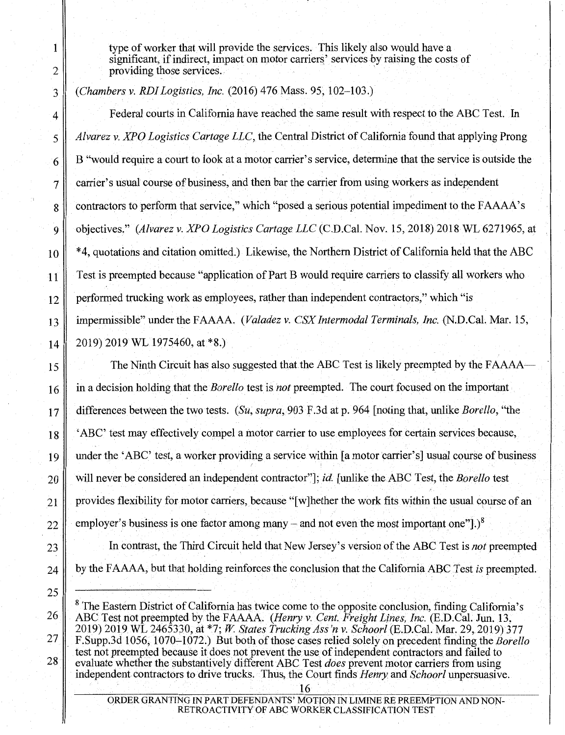type of worker that will provide the services. This likely also would have a significant, if indirect, impact on motor carriers' services by raising the costs of providing those services. ·

*(Chambers v. RDI Logistics, Inc.* (2016) 476 Mass. 95, 102-103.)

Federal courts in California have reached the same result with respect to the ABC Test. In *Alvarez v. XPO Logistics Cartage LLC,* the Central District of California found that applying Prong B "would require a court to look at a motor carrier's service, determine that the service is outside the carrier's usual course of business, and then bar the carrier from using workers as independent contractors to perform that service," which "posed a serious potential impediment to the FAAAA's objectives." *(Alvarez v. XPO Logistics Cartage LLC* (C.D.Cal. Nov. 15, 2018) 2018 WL 6271965, at \*4, quotations and citation omitted.) Likewise, the Northern District of California held that the ABC Test is preempted because "application of Part B would require carriers to classify all workers who performed trucking work as employees, rather than independent contractors," which "is impermissible" under the FAAAA. *(Valadez v. CSX Intermodal Terminals, Inc.* (N.D.Cal. Mar. 15, 2019) 2019 WL 1975460, at \*8.)

The Ninth Circuit has also suggested that the ABC Test is likely preempted by the FAAAA in a decision holding.that the *Borello* test is *not* preempted. The court focused on the important differences between the two tests. *(Su, supra,* 903 F .3d at p. 964 [noting that, unlike *Borello,* "the 'ABC' test may effectively compel a motor carrier to use employees for certain services because, under the 'ABC' test, a worker providing a service within [a motor carrier's] usual course of business will never be considered an independent contractor"]; *id.* [unlike the ABC Test, the *Borello* test provides flexibility for motor carriers, because "[w] hether the work fits within the usual course of an employer's business is one factor among many – and not even the most important one"].)<sup>8</sup>

In contrast, the Third Circuit held that New Jersey's version of the ABC Test is *not* preempted by the F AAAA, but that holding reinforces the conclusion that the California ABC Test *is* preempted.

 $8$  The Eastern District of California has twice come to the opposite conclusion, finding California's ABC Test not preempted by the FAAAA. *(Henry v. Cent. Freight Lines, Inc.* (E.D.Cal. Jun. 13, 2019) 2019. WL 2465330, at \*7; W. *States Trucking Ass'n v. Schoorl* (E.D.Cal. Mar. 29, 2019) 377 F.Supp.3d 1056, 1070-1072.) But both of those cases relied solely on precedent finding the *Borello*  test not preempted because it does not prevent the use of independent contractors and failed to evaluate whether the substantively different ABC Test *does* prevent motor carriers from using independent contractors to drive trucks. Thus, the Court finds *Henry* and *Schoorl* unpersuasive. 16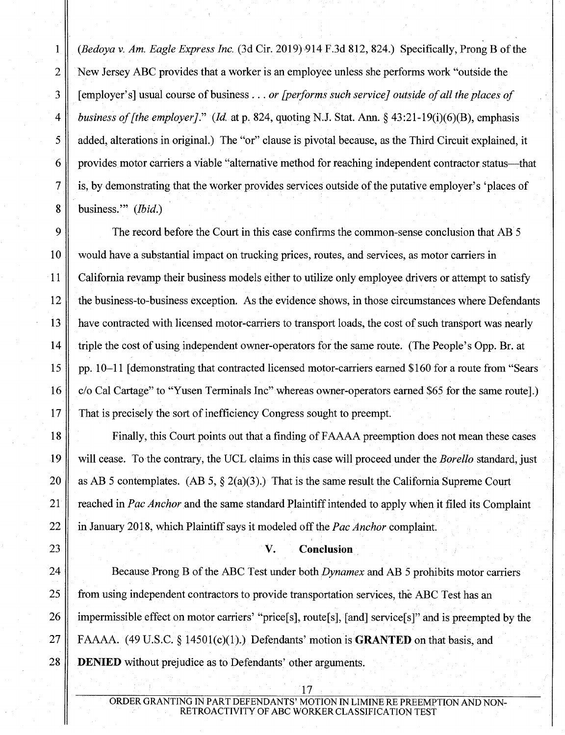1 *(Bedoya v. Am. Eagle Express Inc.* (3d Cir. 2019),914 F.3d 812, 824.) Specifically, Prong B ofthe 2 New Jersey ABC provides that a worker is an employee unless she performs work "outside the 3 [employer's] usual course of business ... *or [performs such service} outside of all the places of*  4 *business of [the employer]." (Id* at p. 824, quoting N.J. Stat. Ann.§ 43:21-19(i)(6)(B), emphasis 5 added, alterations in original.) The "or" clause is pivotal because, as the Third Circuit explained, it 6 provides motor carriers a viable "alternative method for reaching independent contractor status—that 7 is, by demonstrating that the worker provides services outside of the putative employer's 'places of 8 business."' *(Ibid.)* 

9 The record before the Court in this case confirms the common-sense conclusion that AB 5 10 would have a substantial impact on trucking prices, routes, and services, as motor carriers in 11 California revamp their business models either to utilize only employee drivers or attempt to satisfy  $12$  the business-to-business exception. As the evidence shows, in those circumstances where Defendants have contracted with licensed motor-carriers to transport loads, the cost of such transport was nearly triple the cost of using independent owner-operators for the same route. (The People's Opp. Br. at pp. 10–11 [demonstrating that contracted licensed motor-carriers earned \$160 for a route from "Sears" c/o Cal Cartage" to "Yusen Terminals Inc" whereas owner-operators earned \$65 for the same route].) That is precisely the sort of inefficiency Congress sought to preempt.

Finally, this Court points out that a finding of FAAAA preemption does not mean these cases will cease. To the contrary, the UCL claims in this case will proceed under the *Borello* standard, just 20 as AB 5 contemplates. (AB 5,  $\S$  2(a)(3).) That is the same result the California Supreme Court 21 reached in *Pac Anchor* and the same standard Plaintiff intended to apply when it filed its Complaint 22 in January 2018, which Plaintiff says it modeled off the *Pac Anchor* complaint.

## 23 **V. Conclusion**

24 Because Prong B of the ABC Test under both *Dynamex* and AB 5 prohibits motor carriers 25 from using independent contractors to provide transportation services, the ABC Test has an 26 impermissible effect on motor carriers' "price[s], route[s], [and] service[s]" and is preempted by the 27 FAAAA. (49 U.S.C. § 14501(c)(l).) Defendants' motion is **GRANTED** on that basis, and 28 **DENIED** without prejudice as to Defendants' other arguments.